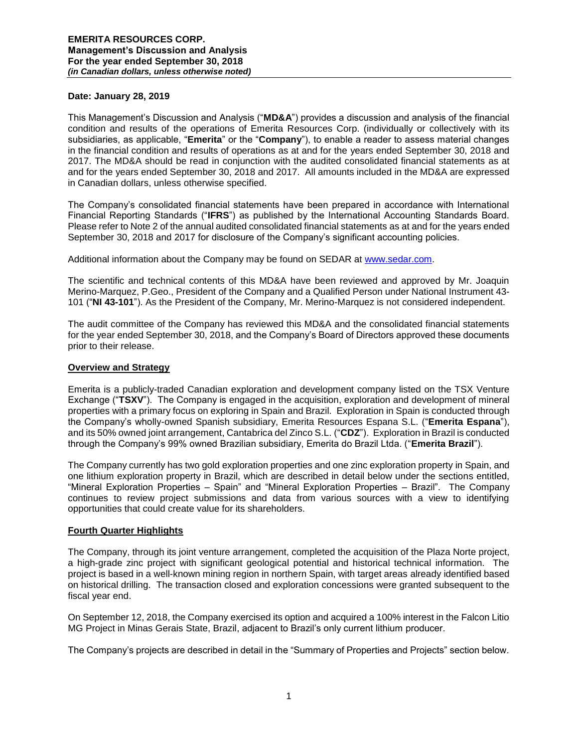### **Date: January 28, 2019**

This Management's Discussion and Analysis ("**MD&A**") provides a discussion and analysis of the financial condition and results of the operations of Emerita Resources Corp. (individually or collectively with its subsidiaries, as applicable, "**Emerita**" or the "**Company**"), to enable a reader to assess material changes in the financial condition and results of operations as at and for the years ended September 30, 2018 and 2017. The MD&A should be read in conjunction with the audited consolidated financial statements as at and for the years ended September 30, 2018 and 2017. All amounts included in the MD&A are expressed in Canadian dollars, unless otherwise specified.

The Company's consolidated financial statements have been prepared in accordance with International Financial Reporting Standards ("**IFRS**") as published by the International Accounting Standards Board. Please refer to Note 2 of the annual audited consolidated financial statements as at and for the years ended September 30, 2018 and 2017 for disclosure of the Company's significant accounting policies.

Additional information about the Company may be found on SEDAR at [www.sedar.com.](http://www.sedar.com/)

The scientific and technical contents of this MD&A have been reviewed and approved by Mr. Joaquin Merino-Marquez, P.Geo., President of the Company and a Qualified Person under National Instrument 43- 101 ("**NI 43-101**"). As the President of the Company, Mr. Merino-Marquez is not considered independent.

The audit committee of the Company has reviewed this MD&A and the consolidated financial statements for the year ended September 30, 2018, and the Company's Board of Directors approved these documents prior to their release.

### **Overview and Strategy**

Emerita is a publicly-traded Canadian exploration and development company listed on the TSX Venture Exchange ("**TSXV**"). The Company is engaged in the acquisition, exploration and development of mineral properties with a primary focus on exploring in Spain and Brazil. Exploration in Spain is conducted through the Company's wholly-owned Spanish subsidiary, Emerita Resources Espana S.L. ("**Emerita Espana**"), and its 50% owned joint arrangement, Cantabrica del Zinco S.L. ("**CDZ**"). Exploration in Brazil is conducted through the Company's 99% owned Brazilian subsidiary, Emerita do Brazil Ltda. ("**Emerita Brazil**").

The Company currently has two gold exploration properties and one zinc exploration property in Spain, and one lithium exploration property in Brazil, which are described in detail below under the sections entitled, "Mineral Exploration Properties – Spain" and "Mineral Exploration Properties – Brazil". The Company continues to review project submissions and data from various sources with a view to identifying opportunities that could create value for its shareholders.

# **Fourth Quarter Highlights**

The Company, through its joint venture arrangement, completed the acquisition of the Plaza Norte project, a high-grade zinc project with significant geological potential and historical technical information. The project is based in a well-known mining region in northern Spain, with target areas already identified based on historical drilling. The transaction closed and exploration concessions were granted subsequent to the fiscal year end.

On September 12, 2018, the Company exercised its option and acquired a 100% interest in the Falcon Litio MG Project in Minas Gerais State, Brazil, adjacent to Brazil's only current lithium producer.

The Company's projects are described in detail in the "Summary of Properties and Projects" section below.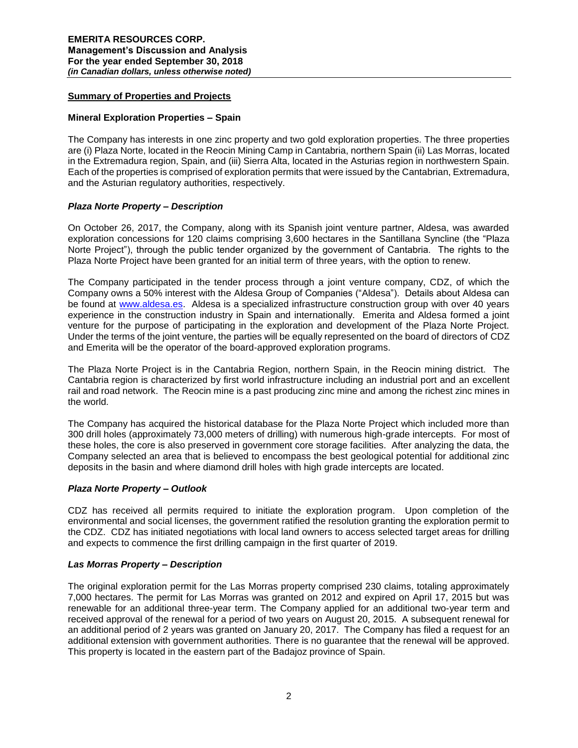# **Summary of Properties and Projects**

# **Mineral Exploration Properties – Spain**

The Company has interests in one zinc property and two gold exploration properties. The three properties are (i) Plaza Norte, located in the Reocin Mining Camp in Cantabria, northern Spain (ii) Las Morras, located in the Extremadura region, Spain, and (iii) Sierra Alta, located in the Asturias region in northwestern Spain. Each of the properties is comprised of exploration permits that were issued by the Cantabrian, Extremadura, and the Asturian regulatory authorities, respectively.

# *Plaza Norte Property – Description*

On October 26, 2017, the Company, along with its Spanish joint venture partner, Aldesa, was awarded exploration concessions for 120 claims comprising 3,600 hectares in the Santillana Syncline (the "Plaza Norte Project"), through the public tender organized by the government of Cantabria. The rights to the Plaza Norte Project have been granted for an initial term of three years, with the option to renew.

The Company participated in the tender process through a joint venture company, CDZ, of which the Company owns a 50% interest with the Aldesa Group of Companies ("Aldesa"). Details about Aldesa can be found at [www.aldesa.es.](http://www.aldesa.es/) Aldesa is a specialized infrastructure construction group with over 40 years experience in the construction industry in Spain and internationally. Emerita and Aldesa formed a joint venture for the purpose of participating in the exploration and development of the Plaza Norte Project. Under the terms of the joint venture, the parties will be equally represented on the board of directors of CDZ and Emerita will be the operator of the board-approved exploration programs.

The Plaza Norte Project is in the Cantabria Region, northern Spain, in the Reocin mining district. The Cantabria region is characterized by first world infrastructure including an industrial port and an excellent rail and road network. The Reocin mine is a past producing zinc mine and among the richest zinc mines in the world.

The Company has acquired the historical database for the Plaza Norte Project which included more than 300 drill holes (approximately 73,000 meters of drilling) with numerous high-grade intercepts. For most of these holes, the core is also preserved in government core storage facilities. After analyzing the data, the Company selected an area that is believed to encompass the best geological potential for additional zinc deposits in the basin and where diamond drill holes with high grade intercepts are located.

# *Plaza Norte Property – Outlook*

CDZ has received all permits required to initiate the exploration program. Upon completion of the environmental and social licenses, the government ratified the resolution granting the exploration permit to the CDZ. CDZ has initiated negotiations with local land owners to access selected target areas for drilling and expects to commence the first drilling campaign in the first quarter of 2019.

# *Las Morras Property – Description*

The original exploration permit for the Las Morras property comprised 230 claims, totaling approximately 7,000 hectares. The permit for Las Morras was granted on 2012 and expired on April 17, 2015 but was renewable for an additional three-year term. The Company applied for an additional two-year term and received approval of the renewal for a period of two years on August 20, 2015. A subsequent renewal for an additional period of 2 years was granted on January 20, 2017. The Company has filed a request for an additional extension with government authorities. There is no guarantee that the renewal will be approved. This property is located in the eastern part of the Badajoz province of Spain.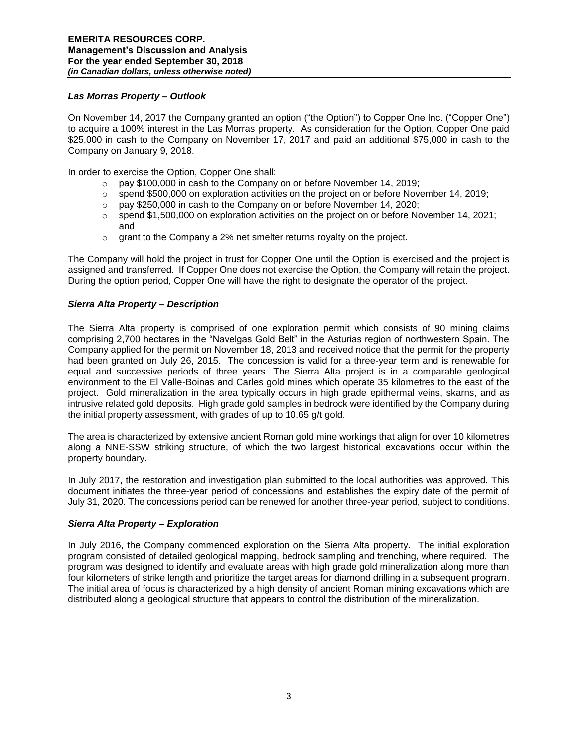# *Las Morras Property – Outlook*

On November 14, 2017 the Company granted an option ("the Option") to Copper One Inc. ("Copper One") to acquire a 100% interest in the Las Morras property. As consideration for the Option, Copper One paid \$25,000 in cash to the Company on November 17, 2017 and paid an additional \$75,000 in cash to the Company on January 9, 2018.

In order to exercise the Option, Copper One shall:

- o pay \$100,000 in cash to the Company on or before November 14, 2019;
- $\circ$  spend \$500,000 on exploration activities on the project on or before November 14, 2019;
- o pay \$250,000 in cash to the Company on or before November 14, 2020;
- $\circ$  spend \$1,500,000 on exploration activities on the project on or before November 14, 2021; and
- $\circ$  grant to the Company a 2% net smelter returns royalty on the project.

The Company will hold the project in trust for Copper One until the Option is exercised and the project is assigned and transferred. If Copper One does not exercise the Option, the Company will retain the project. During the option period, Copper One will have the right to designate the operator of the project.

# *Sierra Alta Property – Description*

The Sierra Alta property is comprised of one exploration permit which consists of 90 mining claims comprising 2,700 hectares in the "Navelgas Gold Belt" in the Asturias region of northwestern Spain. The Company applied for the permit on November 18, 2013 and received notice that the permit for the property had been granted on July 26, 2015. The concession is valid for a three-year term and is renewable for equal and successive periods of three years. The Sierra Alta project is in a comparable geological environment to the El Valle-Boinas and Carles gold mines which operate 35 kilometres to the east of the project. Gold mineralization in the area typically occurs in high grade epithermal veins, skarns, and as intrusive related gold deposits. High grade gold samples in bedrock were identified by the Company during the initial property assessment, with grades of up to 10.65 g/t gold.

The area is characterized by extensive ancient Roman gold mine workings that align for over 10 kilometres along a NNE-SSW striking structure, of which the two largest historical excavations occur within the property boundary.

In July 2017, the restoration and investigation plan submitted to the local authorities was approved. This document initiates the three-year period of concessions and establishes the expiry date of the permit of July 31, 2020. The concessions period can be renewed for another three-year period, subject to conditions.

# *Sierra Alta Property – Exploration*

In July 2016, the Company commenced exploration on the Sierra Alta property. The initial exploration program consisted of detailed geological mapping, bedrock sampling and trenching, where required. The program was designed to identify and evaluate areas with high grade gold mineralization along more than four kilometers of strike length and prioritize the target areas for diamond drilling in a subsequent program. The initial area of focus is characterized by a high density of ancient Roman mining excavations which are distributed along a geological structure that appears to control the distribution of the mineralization.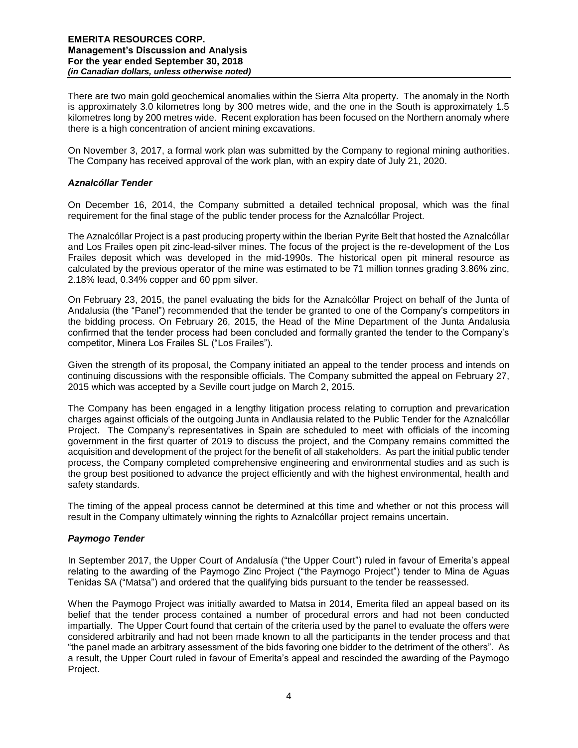There are two main gold geochemical anomalies within the Sierra Alta property. The anomaly in the North is approximately 3.0 kilometres long by 300 metres wide, and the one in the South is approximately 1.5 kilometres long by 200 metres wide. Recent exploration has been focused on the Northern anomaly where there is a high concentration of ancient mining excavations.

On November 3, 2017, a formal work plan was submitted by the Company to regional mining authorities. The Company has received approval of the work plan, with an expiry date of July 21, 2020.

# *Aznalcóllar Tender*

On December 16, 2014, the Company submitted a detailed technical proposal, which was the final requirement for the final stage of the public tender process for the Aznalcóllar Project.

The Aznalcóllar Project is a past producing property within the Iberian Pyrite Belt that hosted the Aznalcóllar and Los Frailes open pit zinc-lead-silver mines. The focus of the project is the re-development of the Los Frailes deposit which was developed in the mid-1990s. The historical open pit mineral resource as calculated by the previous operator of the mine was estimated to be 71 million tonnes grading 3.86% zinc, 2.18% lead, 0.34% copper and 60 ppm silver.

On February 23, 2015, the panel evaluating the bids for the Aznalcóllar Project on behalf of the Junta of Andalusia (the "Panel") recommended that the tender be granted to one of the Company's competitors in the bidding process. On February 26, 2015, the Head of the Mine Department of the Junta Andalusia confirmed that the tender process had been concluded and formally granted the tender to the Company's competitor, Minera Los Frailes SL ("Los Frailes").

Given the strength of its proposal, the Company initiated an appeal to the tender process and intends on continuing discussions with the responsible officials. The Company submitted the appeal on February 27, 2015 which was accepted by a Seville court judge on March 2, 2015.

The Company has been engaged in a lengthy litigation process relating to corruption and prevarication charges against officials of the outgoing Junta in Andlausia related to the Public Tender for the Aznalcóllar Project. The Company's representatives in Spain are scheduled to meet with officials of the incoming government in the first quarter of 2019 to discuss the project, and the Company remains committed the acquisition and development of the project for the benefit of all stakeholders. As part the initial public tender process, the Company completed comprehensive engineering and environmental studies and as such is the group best positioned to advance the project efficiently and with the highest environmental, health and safety standards.

The timing of the appeal process cannot be determined at this time and whether or not this process will result in the Company ultimately winning the rights to Aznalcóllar project remains uncertain.

# *Paymogo Tender*

In September 2017, the Upper Court of Andalusía ("the Upper Court") ruled in favour of Emerita's appeal relating to the awarding of the Paymogo Zinc Project ("the Paymogo Project") tender to Mina de Aguas Tenidas SA ("Matsa") and ordered that the qualifying bids pursuant to the tender be reassessed.

When the Paymogo Project was initially awarded to Matsa in 2014, Emerita filed an appeal based on its belief that the tender process contained a number of procedural errors and had not been conducted impartially. The Upper Court found that certain of the criteria used by the panel to evaluate the offers were considered arbitrarily and had not been made known to all the participants in the tender process and that "the panel made an arbitrary assessment of the bids favoring one bidder to the detriment of the others". As a result, the Upper Court ruled in favour of Emerita's appeal and rescinded the awarding of the Paymogo Project.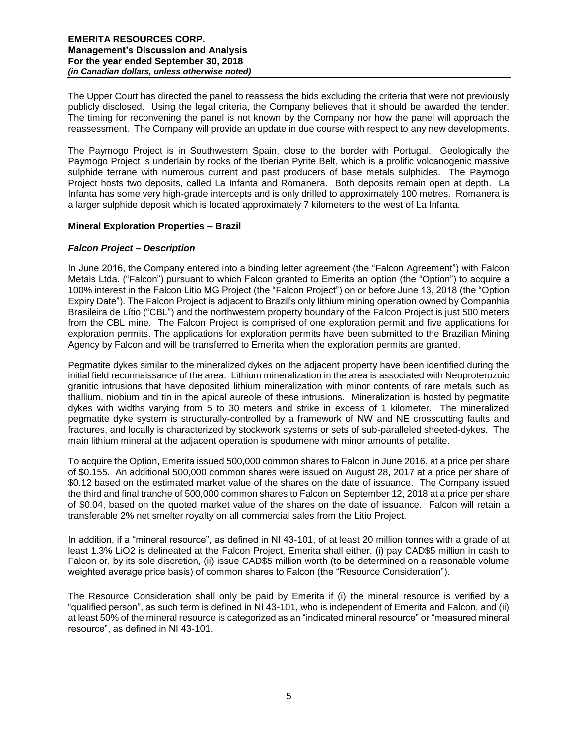The Upper Court has directed the panel to reassess the bids excluding the criteria that were not previously publicly disclosed. Using the legal criteria, the Company believes that it should be awarded the tender. The timing for reconvening the panel is not known by the Company nor how the panel will approach the reassessment. The Company will provide an update in due course with respect to any new developments.

The Paymogo Project is in Southwestern Spain, close to the border with Portugal. Geologically the Paymogo Project is underlain by rocks of the Iberian Pyrite Belt, which is a prolific volcanogenic massive sulphide terrane with numerous current and past producers of base metals sulphides. The Paymogo Project hosts two deposits, called La Infanta and Romanera. Both deposits remain open at depth. La Infanta has some very high-grade intercepts and is only drilled to approximately 100 metres. Romanera is a larger sulphide deposit which is located approximately 7 kilometers to the west of La Infanta.

# **Mineral Exploration Properties – Brazil**

# *Falcon Project – Description*

In June 2016, the Company entered into a binding letter agreement (the "Falcon Agreement") with Falcon Metais Ltda. ("Falcon") pursuant to which Falcon granted to Emerita an option (the "Option") to acquire a 100% interest in the Falcon Litio MG Project (the "Falcon Project") on or before June 13, 2018 (the "Option Expiry Date"). The Falcon Project is adjacent to Brazil's only lithium mining operation owned by Companhia Brasileira de Lítio ("CBL") and the northwestern property boundary of the Falcon Project is just 500 meters from the CBL mine. The Falcon Project is comprised of one exploration permit and five applications for exploration permits. The applications for exploration permits have been submitted to the Brazilian Mining Agency by Falcon and will be transferred to Emerita when the exploration permits are granted.

Pegmatite dykes similar to the mineralized dykes on the adjacent property have been identified during the initial field reconnaissance of the area. Lithium mineralization in the area is associated with Neoproterozoic granitic intrusions that have deposited lithium mineralization with minor contents of rare metals such as thallium, niobium and tin in the apical aureole of these intrusions. Mineralization is hosted by pegmatite dykes with widths varying from 5 to 30 meters and strike in excess of 1 kilometer. The mineralized pegmatite dyke system is structurally-controlled by a framework of NW and NE crosscutting faults and fractures, and locally is characterized by stockwork systems or sets of sub-paralleled sheeted-dykes. The main lithium mineral at the adjacent operation is spodumene with minor amounts of petalite.

To acquire the Option, Emerita issued 500,000 common shares to Falcon in June 2016, at a price per share of \$0.155. An additional 500,000 common shares were issued on August 28, 2017 at a price per share of \$0.12 based on the estimated market value of the shares on the date of issuance. The Company issued the third and final tranche of 500,000 common shares to Falcon on September 12, 2018 at a price per share of \$0.04, based on the quoted market value of the shares on the date of issuance. Falcon will retain a transferable 2% net smelter royalty on all commercial sales from the Litio Project.

In addition, if a "mineral resource", as defined in NI 43-101, of at least 20 million tonnes with a grade of at least 1.3% LiO2 is delineated at the Falcon Project, Emerita shall either, (i) pay CAD\$5 million in cash to Falcon or, by its sole discretion, (ii) issue CAD\$5 million worth (to be determined on a reasonable volume weighted average price basis) of common shares to Falcon (the "Resource Consideration").

The Resource Consideration shall only be paid by Emerita if (i) the mineral resource is verified by a "qualified person", as such term is defined in NI 43-101, who is independent of Emerita and Falcon, and (ii) at least 50% of the mineral resource is categorized as an "indicated mineral resource" or "measured mineral resource", as defined in NI 43-101.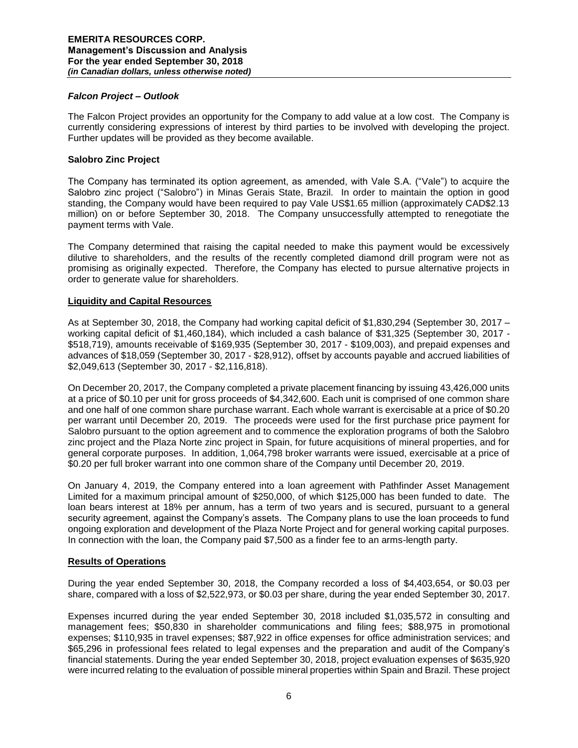### *Falcon Project – Outlook*

The Falcon Project provides an opportunity for the Company to add value at a low cost. The Company is currently considering expressions of interest by third parties to be involved with developing the project. Further updates will be provided as they become available.

### **Salobro Zinc Project**

The Company has terminated its option agreement, as amended, with Vale S.A. ("Vale") to acquire the Salobro zinc project ("Salobro") in Minas Gerais State, Brazil. In order to maintain the option in good standing, the Company would have been required to pay Vale US\$1.65 million (approximately CAD\$2.13 million) on or before September 30, 2018. The Company unsuccessfully attempted to renegotiate the payment terms with Vale.

The Company determined that raising the capital needed to make this payment would be excessively dilutive to shareholders, and the results of the recently completed diamond drill program were not as promising as originally expected. Therefore, the Company has elected to pursue alternative projects in order to generate value for shareholders.

### **Liquidity and Capital Resources**

As at September 30, 2018, the Company had working capital deficit of \$1,830,294 (September 30, 2017 – working capital deficit of \$1,460,184), which included a cash balance of \$31,325 (September 30, 2017 - \$518,719), amounts receivable of \$169,935 (September 30, 2017 - \$109,003), and prepaid expenses and advances of \$18,059 (September 30, 2017 - \$28,912), offset by accounts payable and accrued liabilities of \$2,049,613 (September 30, 2017 - \$2,116,818).

On December 20, 2017, the Company completed a private placement financing by issuing 43,426,000 units at a price of \$0.10 per unit for gross proceeds of \$4,342,600. Each unit is comprised of one common share and one half of one common share purchase warrant. Each whole warrant is exercisable at a price of \$0.20 per warrant until December 20, 2019. The proceeds were used for the first purchase price payment for Salobro pursuant to the option agreement and to commence the exploration programs of both the Salobro zinc project and the Plaza Norte zinc project in Spain, for future acquisitions of mineral properties, and for general corporate purposes. In addition, 1,064,798 broker warrants were issued, exercisable at a price of \$0.20 per full broker warrant into one common share of the Company until December 20, 2019.

On January 4, 2019, the Company entered into a loan agreement with Pathfinder Asset Management Limited for a maximum principal amount of \$250,000, of which \$125,000 has been funded to date. The loan bears interest at 18% per annum, has a term of two years and is secured, pursuant to a general security agreement, against the Company's assets. The Company plans to use the loan proceeds to fund ongoing exploration and development of the Plaza Norte Project and for general working capital purposes. In connection with the loan, the Company paid \$7,500 as a finder fee to an arms-length party.

#### **Results of Operations**

During the year ended September 30, 2018, the Company recorded a loss of \$4,403,654, or \$0.03 per share, compared with a loss of \$2,522,973, or \$0.03 per share, during the year ended September 30, 2017.

Expenses incurred during the year ended September 30, 2018 included \$1,035,572 in consulting and management fees; \$50,830 in shareholder communications and filing fees; \$88,975 in promotional expenses; \$110,935 in travel expenses; \$87,922 in office expenses for office administration services; and \$65,296 in professional fees related to legal expenses and the preparation and audit of the Company's financial statements. During the year ended September 30, 2018, project evaluation expenses of \$635,920 were incurred relating to the evaluation of possible mineral properties within Spain and Brazil. These project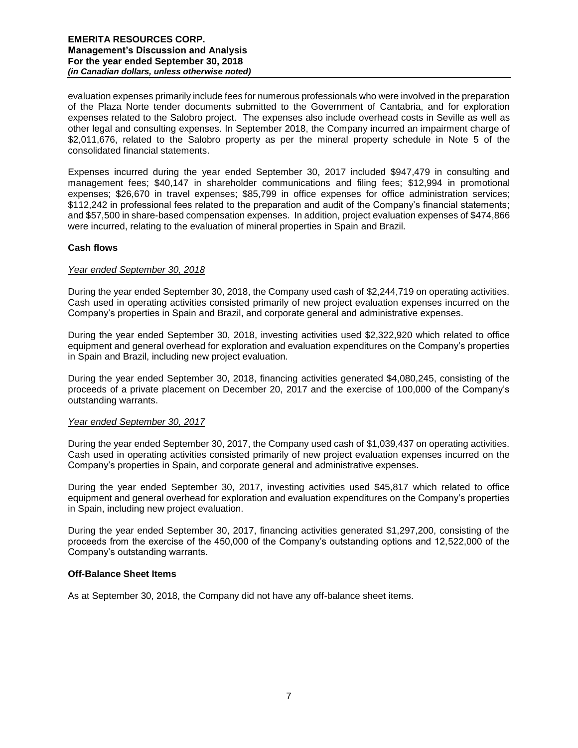evaluation expenses primarily include fees for numerous professionals who were involved in the preparation of the Plaza Norte tender documents submitted to the Government of Cantabria, and for exploration expenses related to the Salobro project. The expenses also include overhead costs in Seville as well as other legal and consulting expenses. In September 2018, the Company incurred an impairment charge of \$2,011,676, related to the Salobro property as per the mineral property schedule in Note 5 of the consolidated financial statements.

Expenses incurred during the year ended September 30, 2017 included \$947,479 in consulting and management fees; \$40,147 in shareholder communications and filing fees; \$12,994 in promotional expenses; \$26,670 in travel expenses; \$85,799 in office expenses for office administration services; \$112,242 in professional fees related to the preparation and audit of the Company's financial statements; and \$57,500 in share-based compensation expenses. In addition, project evaluation expenses of \$474,866 were incurred, relating to the evaluation of mineral properties in Spain and Brazil.

# **Cash flows**

# *Year ended September 30, 2018*

During the year ended September 30, 2018, the Company used cash of \$2,244,719 on operating activities. Cash used in operating activities consisted primarily of new project evaluation expenses incurred on the Company's properties in Spain and Brazil, and corporate general and administrative expenses.

During the year ended September 30, 2018, investing activities used \$2,322,920 which related to office equipment and general overhead for exploration and evaluation expenditures on the Company's properties in Spain and Brazil, including new project evaluation.

During the year ended September 30, 2018, financing activities generated \$4,080,245, consisting of the proceeds of a private placement on December 20, 2017 and the exercise of 100,000 of the Company's outstanding warrants.

# *Year ended September 30, 2017*

During the year ended September 30, 2017, the Company used cash of \$1,039,437 on operating activities. Cash used in operating activities consisted primarily of new project evaluation expenses incurred on the Company's properties in Spain, and corporate general and administrative expenses.

During the year ended September 30, 2017, investing activities used \$45,817 which related to office equipment and general overhead for exploration and evaluation expenditures on the Company's properties in Spain, including new project evaluation.

During the year ended September 30, 2017, financing activities generated \$1,297,200, consisting of the proceeds from the exercise of the 450,000 of the Company's outstanding options and 12,522,000 of the Company's outstanding warrants.

# **Off-Balance Sheet Items**

As at September 30, 2018, the Company did not have any off-balance sheet items.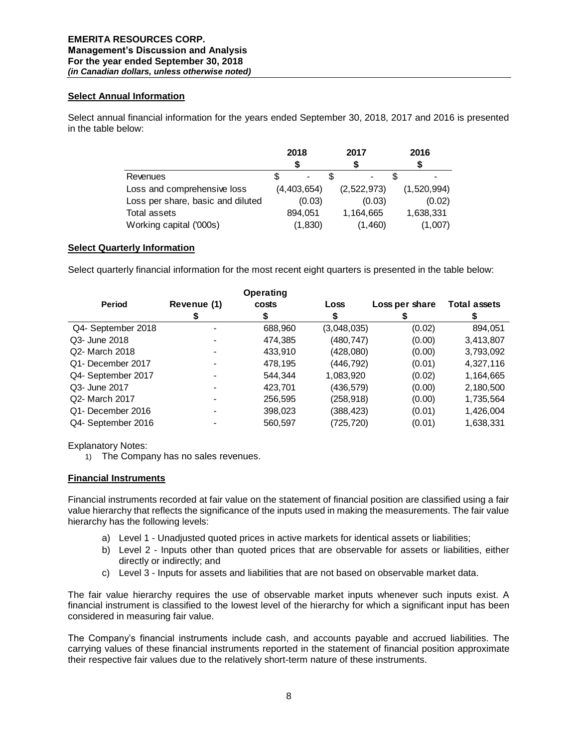# **Select Annual Information**

Select annual financial information for the years ended September 30, 2018, 2017 and 2016 is presented in the table below:

|                                   | 2018        | 2017        | 2016        |
|-----------------------------------|-------------|-------------|-------------|
|                                   |             |             |             |
| Revenues                          |             |             |             |
| Loss and comprehensive loss       | (4,403,654) | (2,522,973) | (1,520,994) |
| Loss per share, basic and diluted | (0.03)      | (0.03)      | (0.02)      |
| Total assets                      | 894,051     | 1,164,665   | 1,638,331   |
| Working capital ('000s)           | (1,830)     | (1,460)     | (1,007)     |

# **Select Quarterly Information**

Select quarterly financial information for the most recent eight quarters is presented in the table below:

|                    |             | <b>Operating</b> |             |                |                     |
|--------------------|-------------|------------------|-------------|----------------|---------------------|
| <b>Period</b>      | Revenue (1) | costs            | Loss        | Loss per share | <b>Total assets</b> |
|                    |             |                  |             |                |                     |
| Q4- September 2018 |             | 688,960          | (3,048,035) | (0.02)         | 894,051             |
| Q3- June 2018      |             | 474,385          | (480, 747)  | (0.00)         | 3,413,807           |
| Q2- March 2018     |             | 433,910          | (428,080)   | (0.00)         | 3,793,092           |
| Q1- December 2017  |             | 478,195          | (446,792)   | (0.01)         | 4,327,116           |
| Q4- September 2017 |             | 544.344          | 1,083,920   | (0.02)         | 1,164,665           |
| Q3- June 2017      |             | 423.701          | (436,579)   | (0.00)         | 2,180,500           |
| Q2- March 2017     |             | 256,595          | (258, 918)  | (0.00)         | 1,735,564           |
| Q1- December 2016  |             | 398,023          | (388, 423)  | (0.01)         | 1,426,004           |
| Q4- September 2016 |             | 560,597          | (725, 720)  | (0.01)         | 1,638,331           |

Explanatory Notes:

1) The Company has no sales revenues.

# **Financial Instruments**

Financial instruments recorded at fair value on the statement of financial position are classified using a fair value hierarchy that reflects the significance of the inputs used in making the measurements. The fair value hierarchy has the following levels:

- a) Level 1 Unadjusted quoted prices in active markets for identical assets or liabilities;
- b) Level 2 Inputs other than quoted prices that are observable for assets or liabilities, either directly or indirectly; and
- c) Level 3 Inputs for assets and liabilities that are not based on observable market data.

The fair value hierarchy requires the use of observable market inputs whenever such inputs exist. A financial instrument is classified to the lowest level of the hierarchy for which a significant input has been considered in measuring fair value.

The Company's financial instruments include cash, and accounts payable and accrued liabilities. The carrying values of these financial instruments reported in the statement of financial position approximate their respective fair values due to the relatively short-term nature of these instruments.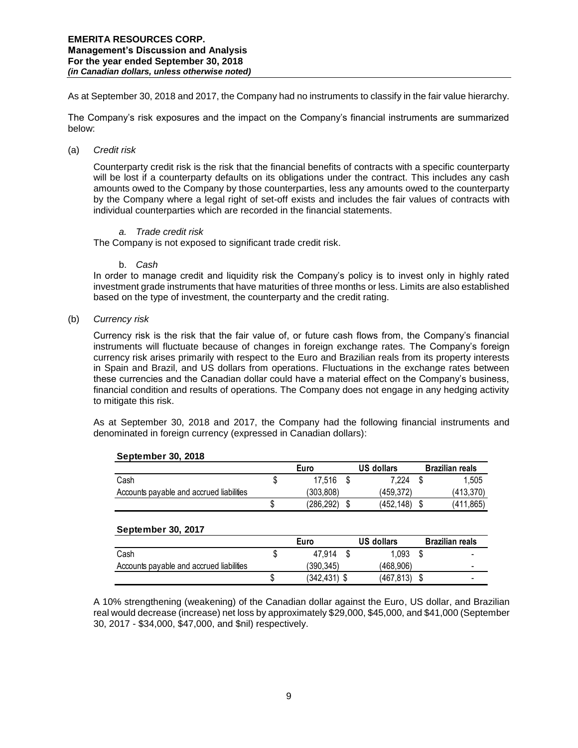As at September 30, 2018 and 2017, the Company had no instruments to classify in the fair value hierarchy.

The Company's risk exposures and the impact on the Company's financial instruments are summarized below:

### (a) *Credit risk*

Counterparty credit risk is the risk that the financial benefits of contracts with a specific counterparty will be lost if a counterparty defaults on its obligations under the contract. This includes any cash amounts owed to the Company by those counterparties, less any amounts owed to the counterparty by the Company where a legal right of set-off exists and includes the fair values of contracts with individual counterparties which are recorded in the financial statements.

# *a. Trade credit risk*

The Company is not exposed to significant trade credit risk.

#### b. *Cash*

In order to manage credit and liquidity risk the Company's policy is to invest only in highly rated investment grade instruments that have maturities of three months or less. Limits are also established based on the type of investment, the counterparty and the credit rating.

(b) *Currency risk* 

Currency risk is the risk that the fair value of, or future cash flows from, the Company's financial instruments will fluctuate because of changes in foreign exchange rates. The Company's foreign currency risk arises primarily with respect to the Euro and Brazilian reals from its property interests in Spain and Brazil, and US dollars from operations. Fluctuations in the exchange rates between these currencies and the Canadian dollar could have a material effect on the Company's business, financial condition and results of operations. The Company does not engage in any hedging activity to mitigate this risk.

As at September 30, 2018 and 2017, the Company had the following financial instruments and denominated in foreign currency (expressed in Canadian dollars):

|                                          |   | Euro       | US dollars | <b>Brazilian reals</b> |
|------------------------------------------|---|------------|------------|------------------------|
| Cash                                     | S | 17.516     | 7.224      | 1.505                  |
| Accounts payable and accrued liabilities |   | (303.808)  | (459.372)  | (413.370)              |
|                                          |   | (286, 292) | (452,148)  | (411,865)              |

#### **September 30, 2018**

# **September 30, 2017**

|                                          | Euro |            | US dollars | <b>Brazilian reals</b> |  |
|------------------------------------------|------|------------|------------|------------------------|--|
| Cash                                     |      | 47.914     | 1.093      | -                      |  |
| Accounts payable and accrued liabilities |      | (390.345)  | (468.906)  | -                      |  |
|                                          |      | (342, 431) | (467.813)  |                        |  |
|                                          |      |            |            |                        |  |

A 10% strengthening (weakening) of the Canadian dollar against the Euro, US dollar, and Brazilian real would decrease (increase) net loss by approximately \$29,000, \$45,000, and \$41,000 (September 30, 2017 - \$34,000, \$47,000, and \$nil) respectively.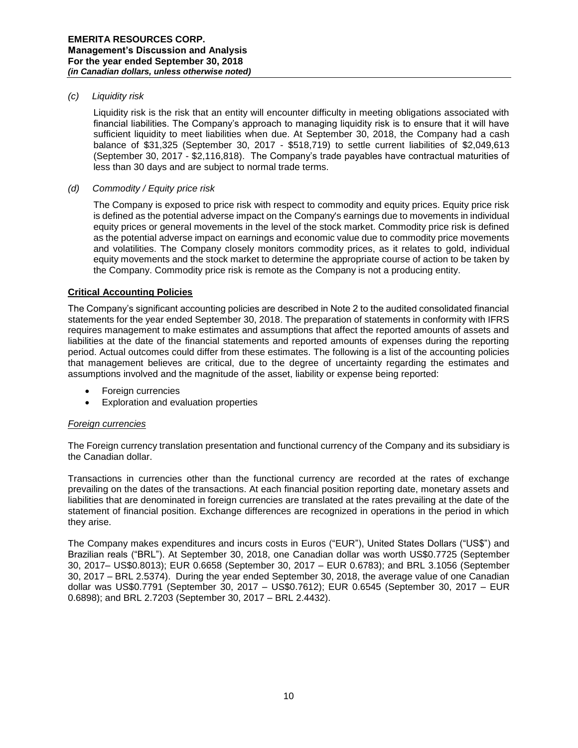### *(c) Liquidity risk*

Liquidity risk is the risk that an entity will encounter difficulty in meeting obligations associated with financial liabilities. The Company's approach to managing liquidity risk is to ensure that it will have sufficient liquidity to meet liabilities when due. At September 30, 2018, the Company had a cash balance of \$31,325 (September 30, 2017 - \$518,719) to settle current liabilities of \$2,049,613 (September 30, 2017 - \$2,116,818). The Company's trade payables have contractual maturities of less than 30 days and are subject to normal trade terms.

### *(d) Commodity / Equity price risk*

The Company is exposed to price risk with respect to commodity and equity prices. Equity price risk is defined as the potential adverse impact on the Company's earnings due to movements in individual equity prices or general movements in the level of the stock market. Commodity price risk is defined as the potential adverse impact on earnings and economic value due to commodity price movements and volatilities. The Company closely monitors commodity prices, as it relates to gold, individual equity movements and the stock market to determine the appropriate course of action to be taken by the Company. Commodity price risk is remote as the Company is not a producing entity.

# **Critical Accounting Policies**

The Company's significant accounting policies are described in Note 2 to the audited consolidated financial statements for the year ended September 30, 2018. The preparation of statements in conformity with IFRS requires management to make estimates and assumptions that affect the reported amounts of assets and liabilities at the date of the financial statements and reported amounts of expenses during the reporting period. Actual outcomes could differ from these estimates. The following is a list of the accounting policies that management believes are critical, due to the degree of uncertainty regarding the estimates and assumptions involved and the magnitude of the asset, liability or expense being reported:

- Foreign currencies
- **•** Exploration and evaluation properties

# *Foreign currencies*

The Foreign currency translation presentation and functional currency of the Company and its subsidiary is the Canadian dollar.

Transactions in currencies other than the functional currency are recorded at the rates of exchange prevailing on the dates of the transactions. At each financial position reporting date, monetary assets and liabilities that are denominated in foreign currencies are translated at the rates prevailing at the date of the statement of financial position. Exchange differences are recognized in operations in the period in which they arise.

The Company makes expenditures and incurs costs in Euros ("EUR"), United States Dollars ("US\$") and Brazilian reals ("BRL"). At September 30, 2018, one Canadian dollar was worth US\$0.7725 (September 30, 2017– US\$0.8013); EUR 0.6658 (September 30, 2017 – EUR 0.6783); and BRL 3.1056 (September 30, 2017 – BRL 2.5374). During the year ended September 30, 2018, the average value of one Canadian dollar was US\$0.7791 (September 30, 2017 – US\$0.7612); EUR 0.6545 (September 30, 2017 – EUR 0.6898); and BRL 2.7203 (September 30, 2017 – BRL 2.4432).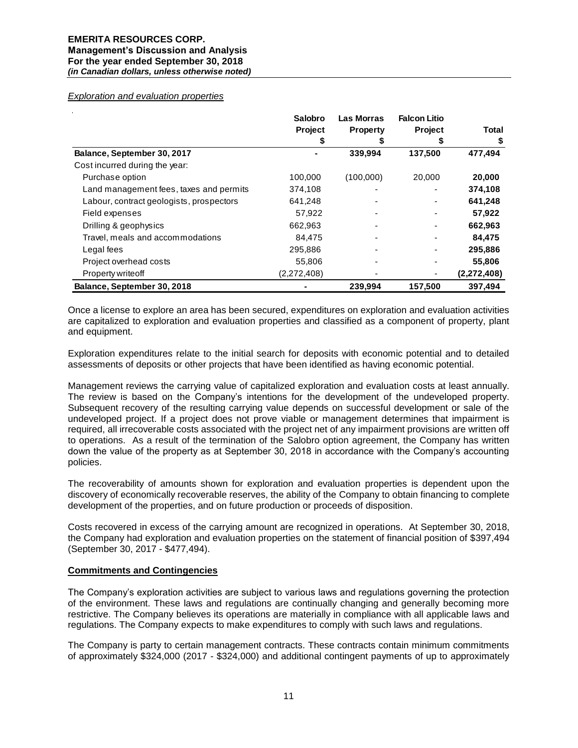#### *Exploration and evaluation properties*

|                                          | Salobro<br><b>Project</b><br>5 | Las Morras<br><b>Property</b> | <b>Falcon Litio</b><br><b>Project</b> | Total<br>S  |
|------------------------------------------|--------------------------------|-------------------------------|---------------------------------------|-------------|
| Balance, September 30, 2017              |                                | 339,994                       | 137,500                               | 477,494     |
| Cost incurred during the year:           |                                |                               |                                       |             |
| Purchase option                          | 100,000                        | (100,000)                     | 20,000                                | 20,000      |
| Land management fees, taxes and permits  | 374,108                        |                               | -                                     | 374,108     |
| Labour, contract geologists, prospectors | 641,248                        |                               |                                       | 641,248     |
| Field expenses                           | 57,922                         |                               |                                       | 57,922      |
| Drilling & geophysics                    | 662,963                        |                               |                                       | 662,963     |
| Travel, meals and accommodations         | 84,475                         |                               |                                       | 84.475      |
| Legal fees                               | 295,886                        |                               |                                       | 295,886     |
| Project overhead costs                   | 55,806                         |                               |                                       | 55,806      |
| Property write off                       | (2,272,408)                    |                               |                                       | (2,272,408) |
| Balance, September 30, 2018              |                                | 239,994                       | 157,500                               | 397,494     |

Once a license to explore an area has been secured, expenditures on exploration and evaluation activities are capitalized to exploration and evaluation properties and classified as a component of property, plant and equipment.

Exploration expenditures relate to the initial search for deposits with economic potential and to detailed assessments of deposits or other projects that have been identified as having economic potential.

Management reviews the carrying value of capitalized exploration and evaluation costs at least annually. The review is based on the Company's intentions for the development of the undeveloped property. Subsequent recovery of the resulting carrying value depends on successful development or sale of the undeveloped project. If a project does not prove viable or management determines that impairment is required, all irrecoverable costs associated with the project net of any impairment provisions are written off to operations. As a result of the termination of the Salobro option agreement, the Company has written down the value of the property as at September 30, 2018 in accordance with the Company's accounting policies.

The recoverability of amounts shown for exploration and evaluation properties is dependent upon the discovery of economically recoverable reserves, the ability of the Company to obtain financing to complete development of the properties, and on future production or proceeds of disposition.

Costs recovered in excess of the carrying amount are recognized in operations. At September 30, 2018, the Company had exploration and evaluation properties on the statement of financial position of \$397,494 (September 30, 2017 - \$477,494).

#### **Commitments and Contingencies**

The Company's exploration activities are subject to various laws and regulations governing the protection of the environment. These laws and regulations are continually changing and generally becoming more restrictive. The Company believes its operations are materially in compliance with all applicable laws and regulations. The Company expects to make expenditures to comply with such laws and regulations.

The Company is party to certain management contracts. These contracts contain minimum commitments of approximately \$324,000 (2017 - \$324,000) and additional contingent payments of up to approximately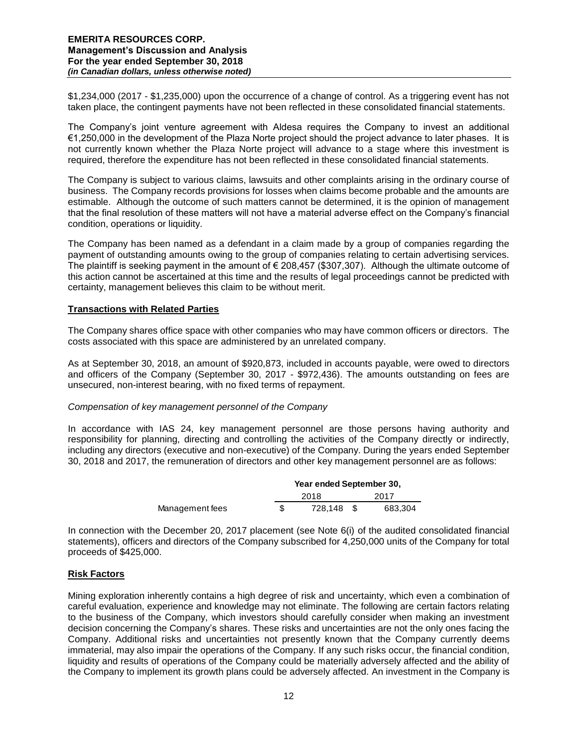\$1,234,000 (2017 - \$1,235,000) upon the occurrence of a change of control. As a triggering event has not taken place, the contingent payments have not been reflected in these consolidated financial statements.

The Company's joint venture agreement with Aldesa requires the Company to invest an additional €1,250,000 in the development of the Plaza Norte project should the project advance to later phases. It is not currently known whether the Plaza Norte project will advance to a stage where this investment is required, therefore the expenditure has not been reflected in these consolidated financial statements.

The Company is subject to various claims, lawsuits and other complaints arising in the ordinary course of business. The Company records provisions for losses when claims become probable and the amounts are estimable. Although the outcome of such matters cannot be determined, it is the opinion of management that the final resolution of these matters will not have a material adverse effect on the Company's financial condition, operations or liquidity.

The Company has been named as a defendant in a claim made by a group of companies regarding the payment of outstanding amounts owing to the group of companies relating to certain advertising services. The plaintiff is seeking payment in the amount of  $\epsilon$  208,457 (\$307,307). Although the ultimate outcome of this action cannot be ascertained at this time and the results of legal proceedings cannot be predicted with certainty, management believes this claim to be without merit.

# **Transactions with Related Parties**

The Company shares office space with other companies who may have common officers or directors. The costs associated with this space are administered by an unrelated company.

As at September 30, 2018, an amount of \$920,873, included in accounts payable, were owed to directors and officers of the Company (September 30, 2017 - \$972,436). The amounts outstanding on fees are unsecured, non-interest bearing, with no fixed terms of repayment.

#### *Compensation of key management personnel of the Company*

In accordance with IAS 24, key management personnel are those persons having authority and responsibility for planning, directing and controlling the activities of the Company directly or indirectly, including any directors (executive and non-executive) of the Company. During the years ended September 30, 2018 and 2017, the remuneration of directors and other key management personnel are as follows:

|                 | Year ended September 30, |  |         |  |  |
|-----------------|--------------------------|--|---------|--|--|
|                 | 2018                     |  | 2017    |  |  |
| Management fees | 728.148                  |  | 683.304 |  |  |

In connection with the December 20, 2017 placement (see Note 6(i) of the audited consolidated financial statements), officers and directors of the Company subscribed for 4,250,000 units of the Company for total proceeds of \$425,000.

# **Risk Factors**

Mining exploration inherently contains a high degree of risk and uncertainty, which even a combination of careful evaluation, experience and knowledge may not eliminate. The following are certain factors relating to the business of the Company, which investors should carefully consider when making an investment decision concerning the Company's shares. These risks and uncertainties are not the only ones facing the Company. Additional risks and uncertainties not presently known that the Company currently deems immaterial, may also impair the operations of the Company. If any such risks occur, the financial condition, liquidity and results of operations of the Company could be materially adversely affected and the ability of the Company to implement its growth plans could be adversely affected. An investment in the Company is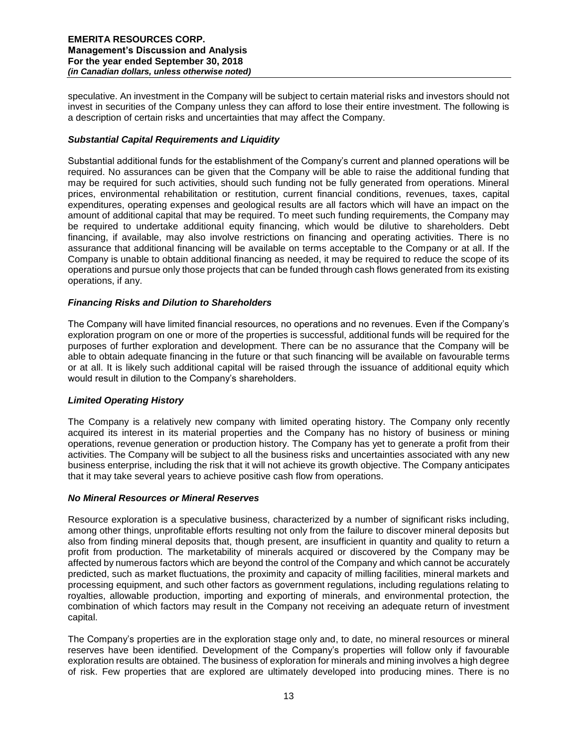speculative. An investment in the Company will be subject to certain material risks and investors should not invest in securities of the Company unless they can afford to lose their entire investment. The following is a description of certain risks and uncertainties that may affect the Company.

# *Substantial Capital Requirements and Liquidity*

Substantial additional funds for the establishment of the Company's current and planned operations will be required. No assurances can be given that the Company will be able to raise the additional funding that may be required for such activities, should such funding not be fully generated from operations. Mineral prices, environmental rehabilitation or restitution, current financial conditions, revenues, taxes, capital expenditures, operating expenses and geological results are all factors which will have an impact on the amount of additional capital that may be required. To meet such funding requirements, the Company may be required to undertake additional equity financing, which would be dilutive to shareholders. Debt financing, if available, may also involve restrictions on financing and operating activities. There is no assurance that additional financing will be available on terms acceptable to the Company or at all. If the Company is unable to obtain additional financing as needed, it may be required to reduce the scope of its operations and pursue only those projects that can be funded through cash flows generated from its existing operations, if any.

# *Financing Risks and Dilution to Shareholders*

The Company will have limited financial resources, no operations and no revenues. Even if the Company's exploration program on one or more of the properties is successful, additional funds will be required for the purposes of further exploration and development. There can be no assurance that the Company will be able to obtain adequate financing in the future or that such financing will be available on favourable terms or at all. It is likely such additional capital will be raised through the issuance of additional equity which would result in dilution to the Company's shareholders.

# *Limited Operating History*

The Company is a relatively new company with limited operating history. The Company only recently acquired its interest in its material properties and the Company has no history of business or mining operations, revenue generation or production history. The Company has yet to generate a profit from their activities. The Company will be subject to all the business risks and uncertainties associated with any new business enterprise, including the risk that it will not achieve its growth objective. The Company anticipates that it may take several years to achieve positive cash flow from operations.

# *No Mineral Resources or Mineral Reserves*

Resource exploration is a speculative business, characterized by a number of significant risks including, among other things, unprofitable efforts resulting not only from the failure to discover mineral deposits but also from finding mineral deposits that, though present, are insufficient in quantity and quality to return a profit from production. The marketability of minerals acquired or discovered by the Company may be affected by numerous factors which are beyond the control of the Company and which cannot be accurately predicted, such as market fluctuations, the proximity and capacity of milling facilities, mineral markets and processing equipment, and such other factors as government regulations, including regulations relating to royalties, allowable production, importing and exporting of minerals, and environmental protection, the combination of which factors may result in the Company not receiving an adequate return of investment capital.

The Company's properties are in the exploration stage only and, to date, no mineral resources or mineral reserves have been identified. Development of the Company's properties will follow only if favourable exploration results are obtained. The business of exploration for minerals and mining involves a high degree of risk. Few properties that are explored are ultimately developed into producing mines. There is no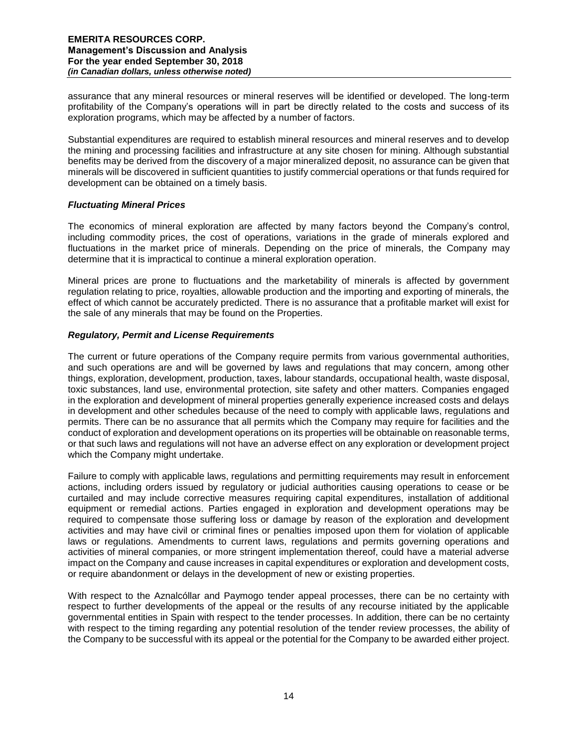assurance that any mineral resources or mineral reserves will be identified or developed. The long-term profitability of the Company's operations will in part be directly related to the costs and success of its exploration programs, which may be affected by a number of factors.

Substantial expenditures are required to establish mineral resources and mineral reserves and to develop the mining and processing facilities and infrastructure at any site chosen for mining. Although substantial benefits may be derived from the discovery of a major mineralized deposit, no assurance can be given that minerals will be discovered in sufficient quantities to justify commercial operations or that funds required for development can be obtained on a timely basis.

# *Fluctuating Mineral Prices*

The economics of mineral exploration are affected by many factors beyond the Company's control, including commodity prices, the cost of operations, variations in the grade of minerals explored and fluctuations in the market price of minerals. Depending on the price of minerals, the Company may determine that it is impractical to continue a mineral exploration operation.

Mineral prices are prone to fluctuations and the marketability of minerals is affected by government regulation relating to price, royalties, allowable production and the importing and exporting of minerals, the effect of which cannot be accurately predicted. There is no assurance that a profitable market will exist for the sale of any minerals that may be found on the Properties.

# *Regulatory, Permit and License Requirements*

The current or future operations of the Company require permits from various governmental authorities, and such operations are and will be governed by laws and regulations that may concern, among other things, exploration, development, production, taxes, labour standards, occupational health, waste disposal, toxic substances, land use, environmental protection, site safety and other matters. Companies engaged in the exploration and development of mineral properties generally experience increased costs and delays in development and other schedules because of the need to comply with applicable laws, regulations and permits. There can be no assurance that all permits which the Company may require for facilities and the conduct of exploration and development operations on its properties will be obtainable on reasonable terms, or that such laws and regulations will not have an adverse effect on any exploration or development project which the Company might undertake.

Failure to comply with applicable laws, regulations and permitting requirements may result in enforcement actions, including orders issued by regulatory or judicial authorities causing operations to cease or be curtailed and may include corrective measures requiring capital expenditures, installation of additional equipment or remedial actions. Parties engaged in exploration and development operations may be required to compensate those suffering loss or damage by reason of the exploration and development activities and may have civil or criminal fines or penalties imposed upon them for violation of applicable laws or regulations. Amendments to current laws, regulations and permits governing operations and activities of mineral companies, or more stringent implementation thereof, could have a material adverse impact on the Company and cause increases in capital expenditures or exploration and development costs, or require abandonment or delays in the development of new or existing properties.

With respect to the Aznalcóllar and Paymogo tender appeal processes, there can be no certainty with respect to further developments of the appeal or the results of any recourse initiated by the applicable governmental entities in Spain with respect to the tender processes. In addition, there can be no certainty with respect to the timing regarding any potential resolution of the tender review processes, the ability of the Company to be successful with its appeal or the potential for the Company to be awarded either project.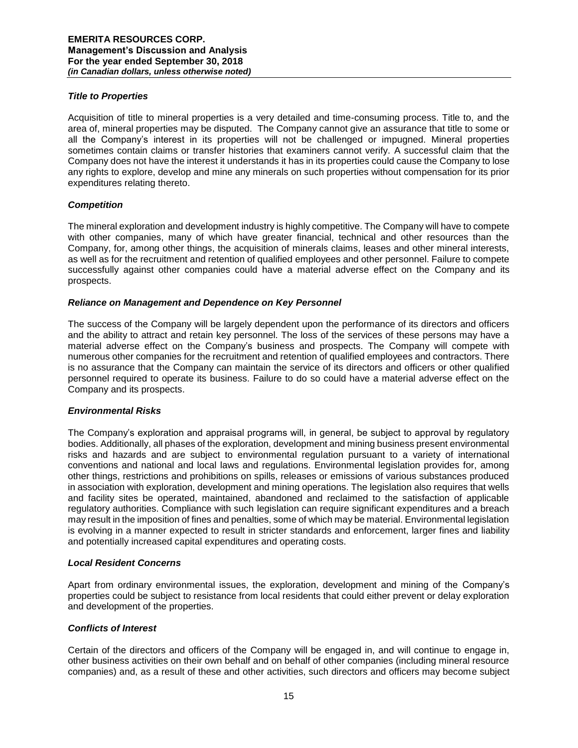# *Title to Properties*

Acquisition of title to mineral properties is a very detailed and time-consuming process. Title to, and the area of, mineral properties may be disputed. The Company cannot give an assurance that title to some or all the Company's interest in its properties will not be challenged or impugned. Mineral properties sometimes contain claims or transfer histories that examiners cannot verify. A successful claim that the Company does not have the interest it understands it has in its properties could cause the Company to lose any rights to explore, develop and mine any minerals on such properties without compensation for its prior expenditures relating thereto.

# *Competition*

The mineral exploration and development industry is highly competitive. The Company will have to compete with other companies, many of which have greater financial, technical and other resources than the Company, for, among other things, the acquisition of minerals claims, leases and other mineral interests, as well as for the recruitment and retention of qualified employees and other personnel. Failure to compete successfully against other companies could have a material adverse effect on the Company and its prospects.

# *Reliance on Management and Dependence on Key Personnel*

The success of the Company will be largely dependent upon the performance of its directors and officers and the ability to attract and retain key personnel. The loss of the services of these persons may have a material adverse effect on the Company's business and prospects. The Company will compete with numerous other companies for the recruitment and retention of qualified employees and contractors. There is no assurance that the Company can maintain the service of its directors and officers or other qualified personnel required to operate its business. Failure to do so could have a material adverse effect on the Company and its prospects.

# *Environmental Risks*

The Company's exploration and appraisal programs will, in general, be subject to approval by regulatory bodies. Additionally, all phases of the exploration, development and mining business present environmental risks and hazards and are subject to environmental regulation pursuant to a variety of international conventions and national and local laws and regulations. Environmental legislation provides for, among other things, restrictions and prohibitions on spills, releases or emissions of various substances produced in association with exploration, development and mining operations. The legislation also requires that wells and facility sites be operated, maintained, abandoned and reclaimed to the satisfaction of applicable regulatory authorities. Compliance with such legislation can require significant expenditures and a breach may result in the imposition of fines and penalties, some of which may be material. Environmental legislation is evolving in a manner expected to result in stricter standards and enforcement, larger fines and liability and potentially increased capital expenditures and operating costs.

# *Local Resident Concerns*

Apart from ordinary environmental issues, the exploration, development and mining of the Company's properties could be subject to resistance from local residents that could either prevent or delay exploration and development of the properties.

# *Conflicts of Interest*

Certain of the directors and officers of the Company will be engaged in, and will continue to engage in, other business activities on their own behalf and on behalf of other companies (including mineral resource companies) and, as a result of these and other activities, such directors and officers may become subject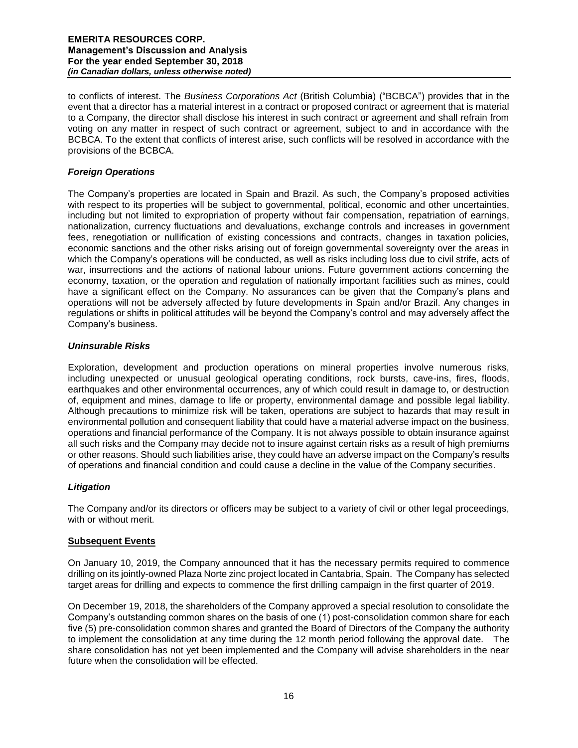to conflicts of interest. The *Business Corporations Act* (British Columbia) ("BCBCA") provides that in the event that a director has a material interest in a contract or proposed contract or agreement that is material to a Company, the director shall disclose his interest in such contract or agreement and shall refrain from voting on any matter in respect of such contract or agreement, subject to and in accordance with the BCBCA. To the extent that conflicts of interest arise, such conflicts will be resolved in accordance with the provisions of the BCBCA.

# *Foreign Operations*

The Company's properties are located in Spain and Brazil. As such, the Company's proposed activities with respect to its properties will be subject to governmental, political, economic and other uncertainties, including but not limited to expropriation of property without fair compensation, repatriation of earnings, nationalization, currency fluctuations and devaluations, exchange controls and increases in government fees, renegotiation or nullification of existing concessions and contracts, changes in taxation policies, economic sanctions and the other risks arising out of foreign governmental sovereignty over the areas in which the Company's operations will be conducted, as well as risks including loss due to civil strife, acts of war, insurrections and the actions of national labour unions. Future government actions concerning the economy, taxation, or the operation and regulation of nationally important facilities such as mines, could have a significant effect on the Company. No assurances can be given that the Company's plans and operations will not be adversely affected by future developments in Spain and/or Brazil. Any changes in regulations or shifts in political attitudes will be beyond the Company's control and may adversely affect the Company's business.

# *Uninsurable Risks*

Exploration, development and production operations on mineral properties involve numerous risks, including unexpected or unusual geological operating conditions, rock bursts, cave-ins, fires, floods, earthquakes and other environmental occurrences, any of which could result in damage to, or destruction of, equipment and mines, damage to life or property, environmental damage and possible legal liability. Although precautions to minimize risk will be taken, operations are subject to hazards that may result in environmental pollution and consequent liability that could have a material adverse impact on the business, operations and financial performance of the Company. It is not always possible to obtain insurance against all such risks and the Company may decide not to insure against certain risks as a result of high premiums or other reasons. Should such liabilities arise, they could have an adverse impact on the Company's results of operations and financial condition and could cause a decline in the value of the Company securities.

# *Litigation*

The Company and/or its directors or officers may be subject to a variety of civil or other legal proceedings, with or without merit.

# **Subsequent Events**

On January 10, 2019, the Company announced that it has the necessary permits required to commence drilling on its jointly-owned Plaza Norte zinc project located in Cantabria, Spain. The Company has selected target areas for drilling and expects to commence the first drilling campaign in the first quarter of 2019.

On December 19, 2018, the shareholders of the Company approved a special resolution to consolidate the Company's outstanding common shares on the basis of one (1) post-consolidation common share for each five (5) pre-consolidation common shares and granted the Board of Directors of the Company the authority to implement the consolidation at any time during the 12 month period following the approval date. The share consolidation has not yet been implemented and the Company will advise shareholders in the near future when the consolidation will be effected.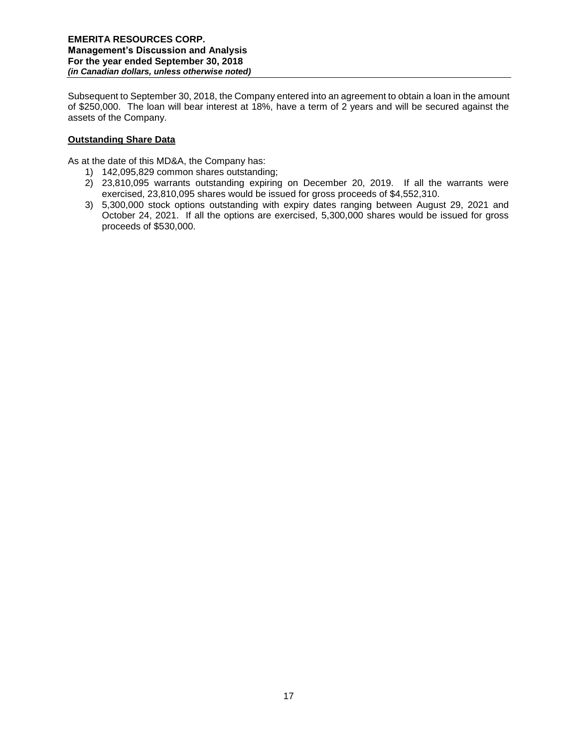Subsequent to September 30, 2018, the Company entered into an agreement to obtain a loan in the amount of \$250,000. The loan will bear interest at 18%, have a term of 2 years and will be secured against the assets of the Company.

# **Outstanding Share Data**

As at the date of this MD&A, the Company has:

- 1) 142,095,829 common shares outstanding;
- 2) 23,810,095 warrants outstanding expiring on December 20, 2019. If all the warrants were exercised, 23,810,095 shares would be issued for gross proceeds of \$4,552,310.
- 3) 5,300,000 stock options outstanding with expiry dates ranging between August 29, 2021 and October 24, 2021. If all the options are exercised, 5,300,000 shares would be issued for gross proceeds of \$530,000.